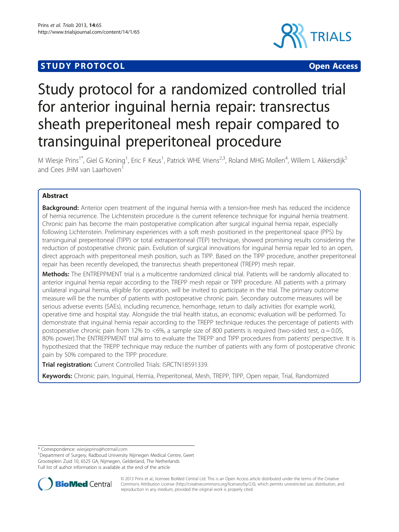## **STUDY PROTOCOL CONSUMING THE RESERVE ACCESS**



# Study protocol for a randomized controlled trial for anterior inguinal hernia repair: transrectus sheath preperitoneal mesh repair compared to transinguinal preperitoneal procedure

M Wiesje Prins<sup>1\*</sup>, Giel G Koning<sup>1</sup>, Eric F Keus<sup>1</sup>, Patrick WHE Vriens<sup>2,3</sup>, Roland MHG Mollen<sup>4</sup>, Willem L Akkersdijk<sup>5</sup> and Cees JHM van Laarhoven

## Abstract

Background: Anterior open treatment of the inguinal hernia with a tension-free mesh has reduced the incidence of hernia recurrence. The Lichtenstein procedure is the current reference technique for inguinal hernia treatment. Chronic pain has become the main postoperative complication after surgical inguinal hernia repair, especially following Lichtenstein. Preliminary experiences with a soft mesh positioned in the preperitoneal space (PPS) by transinguinal preperitoneal (TIPP) or total extraperitoneal (TEP) technique, showed promising results considering the reduction of postoperative chronic pain. Evolution of surgical innovations for inguinal hernia repair led to an open, direct approach with preperitoneal mesh position, such as TIPP. Based on the TIPP procedure, another preperitoneal repair has been recently developed, the transrectus sheath preperitoneal (TREPP) mesh repair.

Methods: The ENTREPPMENT trial is a multicentre randomized clinical trial. Patients will be randomly allocated to anterior inguinal hernia repair according to the TREPP mesh repair or TIPP procedure. All patients with a primary unilateral inguinal hernia, eligible for operation, will be invited to participate in the trial. The primary outcome measure will be the number of patients with postoperative chronic pain. Secondary outcome measures will be serious adverse events (SAEs), including recurrence, hemorrhage, return to daily activities (for example work), operative time and hospital stay. Alongside the trial health status, an economic evaluation will be performed. To demonstrate that inguinal hernia repair according to the TREPP technique reduces the percentage of patients with postoperative chronic pain from 12% to <6%, a sample size of 800 patients is required (two-sided test,  $\alpha$  = 0.05, 80% power).The ENTREPPMENT trial aims to evaluate the TREPP and TIPP procedures from patients' perspective. It is hypothesized that the TREPP technique may reduce the number of patients with any form of postoperative chronic pain by 50% compared to the TIPP procedure.

Trial registration: Current Controlled Trials: [ISRCTN18591339](http://www.controlled-trials.com/ISRCTN18591339).

Keywords: Chronic pain, Inquinal, Hernia, Preperitoneal, Mesh, TREPP, TIPP, Open repair, Trial, Randomized

<sup>&</sup>lt;sup>1</sup>Department of Surgery, Radboud University Nijmegen Medical Centre, Geert Grooteplein Zuid 10, 6525 GA, Nijmegen, Gelderland, The Netherlands Full list of author information is available at the end of the article



© 2013 Prins et al.; licensee BioMed Central Ltd. This is an Open Access article distributed under the terms of the Creative Commons Attribution License [\(http://creativecommons.org/licenses/by/2.0\)](http://creativecommons.org/licenses/by/2.0), which permits unrestricted use, distribution, and reproduction in any medium, provided the original work is properly cited.

<sup>\*</sup> Correspondence: [wiesjeprins@hotmail.com](mailto:wiesjeprins@hotmail.com) <sup>1</sup>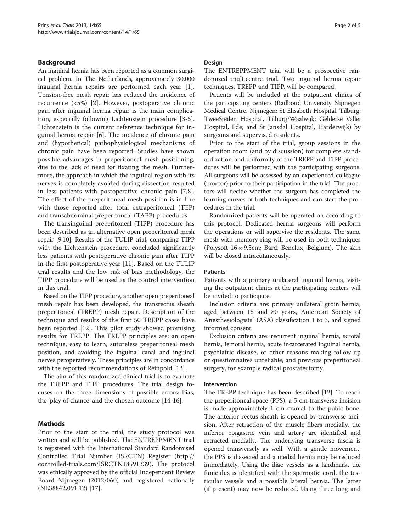## Background

An inguinal hernia has been reported as a common surgical problem. In The Netherlands, approximately 30,000 inguinal hernia repairs are performed each year [[1](#page-4-0)]. Tension-free mesh repair has reduced the incidence of recurrence (<5%) [[2\]](#page-4-0). However, postoperative chronic pain after inguinal hernia repair is the main complication, especially following Lichtenstein procedure [\[3-5](#page-4-0)]. Lichtenstein is the current reference technique for inguinal hernia repair [[6\]](#page-4-0). The incidence of chronic pain and (hypothetical) pathophysiological mechanisms of chronic pain have been reported. Studies have shown possible advantages in preperitoneal mesh positioning, due to the lack of need for fixating the mesh. Furthermore, the approach in which the inguinal region with its nerves is completely avoided during dissection resulted in less patients with postoperative chronic pain [[7,8](#page-4-0)]. The effect of the preperitoneal mesh position is in line with those reported after total extraperitoneal (TEP) and transabdominal preperitoneal (TAPP) procedures.

The transinguinal preperitoneal (TIPP) procedure has been described as an alternative open preperitoneal mesh repair [[9,10](#page-4-0)]. Results of the TULIP trial, comparing TIPP with the Lichtenstein procedure, concluded significantly less patients with postoperative chronic pain after TIPP in the first postoperative year [\[11](#page-4-0)]. Based on the TULIP trial results and the low risk of bias methodology, the TIPP procedure will be used as the control intervention in this trial.

Based on the TIPP procedure, another open preperitoneal mesh repair has been developed, the transrectus sheath preperitoneal (TREPP) mesh repair. Description of the technique and results of the first 50 TREPP cases have been reported [[12\]](#page-4-0). This pilot study showed promising results for TREPP. The TREPP principles are: an open technique, easy to learn, sutureless preperitoneal mesh position, and avoiding the inguinal canal and inguinal nerves peroperatively. These principles are in concordance with the reported recommendations of Reinpold [[13](#page-4-0)].

The aim of this randomized clinical trial is to evaluate the TREPP and TIPP procedures. The trial design focuses on the three dimensions of possible errors: bias, the 'play of chance' and the chosen outcome [[14-16\]](#page-4-0).

## Methods

Prior to the start of the trial, the study protocol was written and will be published. The ENTREPPMENT trial is registered with the International Standard Randomised Controlled Trial Number (ISRCTN) Register ([http://](http://controlled-trials.com/ISRCTN18591339) [controlled-trials.com/ISRCTN18591339](http://controlled-trials.com/ISRCTN18591339)). The protocol was ethically approved by the official Independent Review Board Nijmegen (2012/060) and registered nationally (NL38842.091.12) [[17\]](#page-4-0).

#### Design

The ENTREPPMENT trial will be a prospective randomized multicentre trial. Two inguinal hernia repair techniques, TREPP and TIPP, will be compared.

Patients will be included at the outpatient clinics of the participating centers (Radboud University Nijmegen Medical Centre, Nijmegen; St Elisabeth Hospital, Tilburg; TweeSteden Hospital, Tilburg/Waalwijk; Gelderse Vallei Hospital, Ede; and St Jansdal Hospital, Harderwijk) by surgeons and supervised residents.

Prior to the start of the trial, group sessions in the operation room (and by discussion) for complete standardization and uniformity of the TREPP and TIPP procedures will be performed with the participating surgeons. All surgeons will be assessed by an experienced colleague (proctor) prior to their participation in the trial. The proctors will decide whether the surgeon has completed the learning curves of both techniques and can start the procedures in the trial.

Randomized patients will be operated on according to this protocol. Dedicated hernia surgeons will perform the operations or will supervise the residents. The same mesh with memory ring will be used in both techniques (Polysoft 16 × 9.5cm; Bard, Benelux, Belgium). The skin will be closed intracutaneously.

## **Patients**

Patients with a primary unilateral inguinal hernia, visiting the outpatient clinics at the participating centers will be invited to participate.

Inclusion criteria are: primary unilateral groin hernia, aged between 18 and 80 years, American Society of Anesthesiologists' (ASA) classification 1 to 3, and signed informed consent.

Exclusion criteria are: recurrent inguinal hernia, scrotal hernia, femoral hernia, acute incarcerated inguinal hernia, psychiatric disease, or other reasons making follow-up or questionnaires unreliable, and previous preperitoneal surgery, for example radical prostatectomy.

## Intervention

The TREPP technique has been described [\[12](#page-4-0)]. To reach the preperitoneal space (PPS), a 5 cm transverse incision is made approximately 1 cm cranial to the pubic bone. The anterior rectus sheath is opened by transverse incision. After retraction of the muscle fibers medially, the inferior epigastric vein and artery are identified and retracted medially. The underlying transverse fascia is opened transversely as well. With a gentle movement, the PPS is dissected and a medial hernia may be reduced immediately. Using the iliac vessels as a landmark, the funiculus is identified with the spermatic cord, the testicular vessels and a possible lateral hernia. The latter (if present) may now be reduced. Using three long and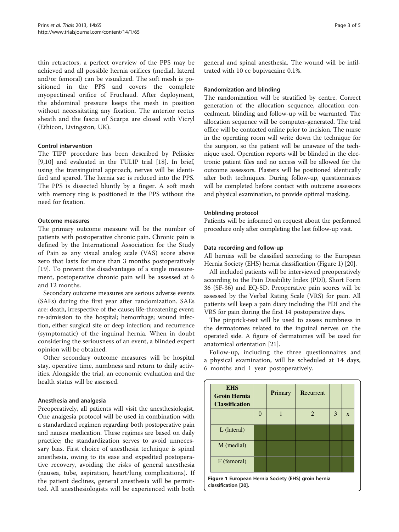thin retractors, a perfect overview of the PPS may be achieved and all possible hernia orifices (medial, lateral and/or femoral) can be visualized. The soft mesh is positioned in the PPS and covers the complete myopectineal orifice of Fruchaud. After deployment, the abdominal pressure keeps the mesh in position without necessitating any fixation. The anterior rectus sheath and the fascia of Scarpa are closed with Vicryl (Ethicon, Livingston, UK).

### Control intervention

The TIPP procedure has been described by Pelissier [[9,10\]](#page-4-0) and evaluated in the TULIP trial [\[18\]](#page-4-0). In brief, using the transinguinal approach, nerves will be identified and spared. The hernia sac is reduced into the PPS. The PPS is dissected bluntly by a finger. A soft mesh with memory ring is positioned in the PPS without the need for fixation.

### Outcome measures

The primary outcome measure will be the number of patients with postoperative chronic pain. Chronic pain is defined by the International Association for the Study of Pain as any visual analog scale (VAS) score above zero that lasts for more than 3 months postoperatively [[19\]](#page-4-0). To prevent the disadvantages of a single measurement, postoperative chronic pain will be assessed at 6 and 12 months.

Secondary outcome measures are serious adverse events (SAEs) during the first year after randomization. SAEs are: death, irrespective of the cause; life-threatening event; re-admission to the hospital; hemorrhage; wound infection, either surgical site or deep infection; and recurrence (symptomatic) of the inguinal hernia. When in doubt considering the seriousness of an event, a blinded expert opinion will be obtained.

Other secondary outcome measures will be hospital stay, operative time, numbness and return to daily activities. Alongside the trial, an economic evaluation and the health status will be assessed.

#### Anesthesia and analgesia

Preoperatively, all patients will visit the anesthesiologist. One analgesia protocol will be used in combination with a standardized regimen regarding both postoperative pain and nausea medication. These regimes are based on daily practice; the standardization serves to avoid unnecessary bias. First choice of anesthesia technique is spinal anesthesia, owing to its ease and expedited postoperative recovery, avoiding the risks of general anesthesia (nausea, tube, aspiration, heart/lung complications). If the patient declines, general anesthesia will be permitted. All anesthesiologists will be experienced with both

general and spinal anesthesia. The wound will be infiltrated with 10 cc bupivacaine 0.1%.

#### Randomization and blinding

The randomization will be stratified by centre. Correct generation of the allocation sequence, allocation concealment, blinding and follow-up will be warranted. The allocation sequence will be computer-generated. The trial office will be contacted online prior to incision. The nurse in the operating room will write down the technique for the surgeon, so the patient will be unaware of the technique used. Operation reports will be blinded in the electronic patient files and no access will be allowed for the outcome assessors. Plasters will be positioned identically after both techniques. During follow-up, questionnaires will be completed before contact with outcome assessors and physical examination, to provide optimal masking.

### Unblinding protocol

Patients will be informed on request about the performed procedure only after completing the last follow-up visit.

### Data recording and follow-up

All hernias will be classified according to the European Hernia Society (EHS) hernia classification (Figure 1) [\[20\]](#page-4-0).

All included patients will be interviewed preoperatively according to the Pain Disability Index (PDI), Short Form 36 (SF-36) and EQ-5D. Preoperative pain scores will be assessed by the Verbal Rating Scale (VRS) for pain. All patients will keep a pain diary including the PDI and the VRS for pain during the first 14 postoperative days.

The pinprick-test will be used to assess numbness in the dermatomes related to the inguinal nerves on the operated side. A figure of dermatomes will be used for anatomical orientation [\[21](#page-4-0)].

Follow-up, including the three questionnaires and a physical examination, will be scheduled at 14 days, 6 months and 1 year postoperatively.

| <b>EHS</b><br><b>Groin Hernia</b><br><b>Classification</b>                  |          | Primary | Recurrent                   |   |              |
|-----------------------------------------------------------------------------|----------|---------|-----------------------------|---|--------------|
|                                                                             | $\Omega$ |         | $\mathcal{D}_{\mathcal{A}}$ | 3 | $\mathbf{x}$ |
| L (lateral)                                                                 |          |         |                             |   |              |
| M (medial)                                                                  |          |         |                             |   |              |
| F (femoral)                                                                 |          |         |                             |   |              |
| Figure 1 European Hernia Society (EHS) groin hernia<br>classification [20]. |          |         |                             |   |              |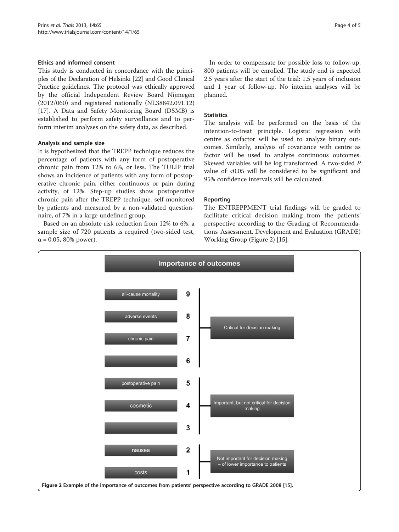### Ethics and informed consent

This study is conducted in concordance with the principles of the Declaration of Helsinki [\[22\]](#page-4-0) and Good Clinical Practice guidelines. The protocol was ethically approved by the official Independent Review Board Nijmegen (2012/060) and registered nationally (NL38842.091.12) [[17\]](#page-4-0). A Data and Safety Monitoring Board (DSMB) is established to perform safety surveillance and to perform interim analyses on the safety data, as described.

## Analysis and sample size

It is hypothesized that the TREPP technique reduces the percentage of patients with any form of postoperative chronic pain from 12% to 6%, or less. The TULIP trial shows an incidence of patients with any form of postoperative chronic pain, either continuous or pain during activity, of 12%. Step-up studies show postoperative chronic pain after the TREPP technique, self-monitored by patients and measured by a non-validated questionnaire, of 7% in a large undefined group.

Based on an absolute risk reduction from 12% to 6%, a sample size of 720 patients is required (two-sided test,  $\alpha = 0.05, 80\%$  power).

In order to compensate for possible loss to follow-up, 800 patients will be enrolled. The study end is expected 2.5 years after the start of the trial: 1.5 years of inclusion and 1 year of follow-up. No interim analyses will be planned.

## **Statistics**

The analysis will be performed on the basis of the intention-to-treat principle. Logistic regression with centre as cofactor will be used to analyze binary outcomes. Similarly, analysis of covariance with centre as factor will be used to analyze continuous outcomes. Skewed variables will be log transformed. A two-sided P value of <0.05 will be considered to be significant and 95% confidence intervals will be calculated.

### Reporting

The ENTREPPMENT trial findings will be graded to facilitate critical decision making from the patients' perspective according to the Grading of Recommendations Assessment, Development and Evaluation (GRADE) Working Group (Figure 2) [\[15\]](#page-4-0).